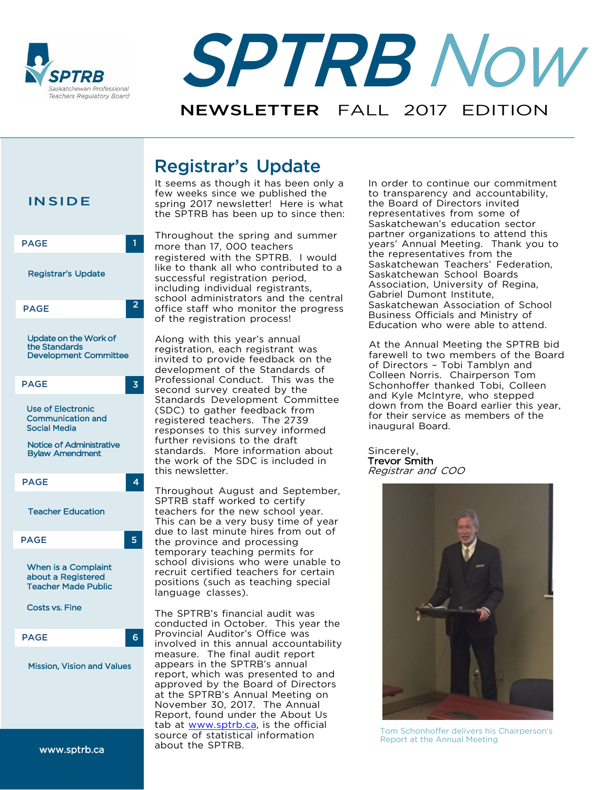



# Registrar's Update

It seems as though it has been only a few weeks since we published the spring 2017 newsletter! Here is what the SPTRB has been up to since then:

Throughout the spring and summer 1 more than 17, 000 teachers registered with the SPTRB. I would like to thank all who contributed to a successful registration period, including individual registrants, school administrators and the central office staff who monitor the progress of the registration process!

> Along with this year's annual registration, each registrant was invited to provide feedback on the development of the Standards of Professional Conduct. This was the second survey created by the Standards Development Committee (SDC) to gather feedback from registered teachers. The 2739 responses to this survey informed further revisions to the draft standards. More information about the work of the SDC is included in this newsletter.

Throughout August and September, SPTRB staff worked to certify teachers for the new school year. This can be a very busy time of year due to last minute hires from out of the province and processing temporary teaching permits for school divisions who were unable to recruit certified teachers for certain positions (such as teaching special language classes).

The SPTRB's financial audit was conducted in October. This year the Provincial Auditor's Office was involved in this annual accountability measure. The final audit report appears in the SPTRB's annual report, which was presented to and approved by the Board of Directors at the SPTRB's Annual Meeting on November 30, 2017. The Annual Report, found under the About Us tab at [www.sptrb.ca,](http://www.sptrb.ca/) is the official source of statistical information about the SPTRB.

In order to continue our commitment to transparency and accountability, the Board of Directors invited representatives from some of Saskatchewan's education sector partner organizations to attend this years' Annual Meeting. Thank you to the representatives from the Saskatchewan Teachers' Federation, Saskatchewan School Boards Association, University of Regina, Gabriel Dumont Institute, Saskatchewan Association of School Business Officials and Ministry of Education who were able to attend.

At the Annual Meeting the SPTRB bid farewell to two members of the Board of Directors – Tobi Tamblyn and Colleen Norris. Chairperson Tom Schonhoffer thanked Tobi, Colleen and Kyle McIntyre, who stepped down from the Board earlier this year, for their service as members of the inaugural Board.

Sincerely, Trevor Smith Registrar and COO



Tom Schonhoffer delivers his Chairperson's Report at the Annual Meeting

### **INSIDE**

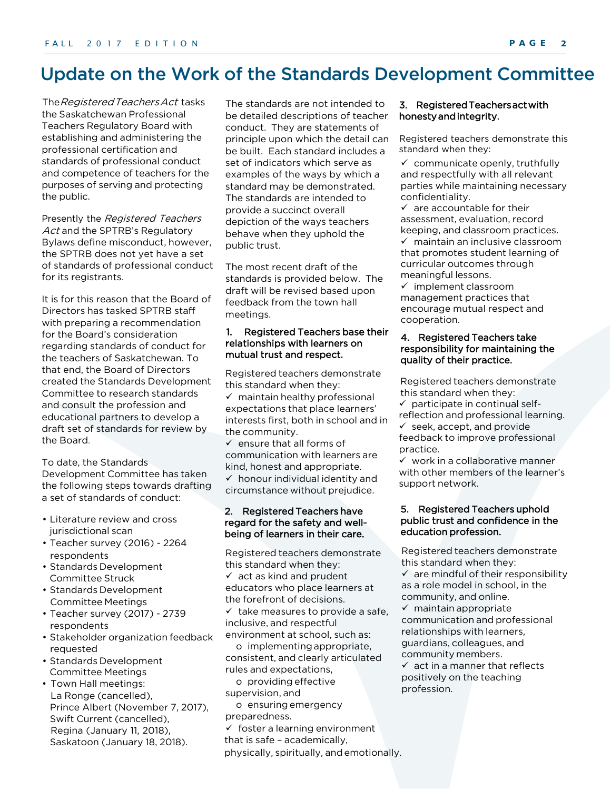# <span id="page-1-0"></span>Update on the Work of the Standards Development Committee

The Registered Teachers Act tasks the Saskatchewan Professional Teachers Regulatory Board with establishing and administering the professional certification and standards of professional conduct and competence of teachers for the purposes of serving and protecting the public.

Presently the Registered Teachers Act and the SPTRB's Regulatory Bylaws define misconduct, however, the SPTRB does not yet have a set of standards of professional conduct for its registrants.

It is for this reason that the Board of Directors has tasked SPTRB staff with preparing a recommendation for the Board's consideration regarding standards of conduct for the teachers of Saskatchewan. To that end, the Board of Directors created the Standards Development Committee to research standards and consult the profession and educational partners to develop a draft set of standards for review by the Board.

To date, the Standards Development Committee has taken the following steps towards drafting a set of standards of conduct:

- Literature review and cross jurisdictional scan
- Teacher survey (2016) 2264 respondents
- Standards Development Committee Struck
- Standards Development Committee Meetings
- Teacher survey (2017) 2739 respondents
- Stakeholder organization feedback requested
- Standards Development Committee Meetings
- Town Hall meetings: The Contraction of providing effective the contraction of the profession. La Ronge (cancelled), Prince Albert (November 7, 2017), Swift Current (cancelled), Regina (January 11, 2018), Saskatoon (January 18, 2018).

The standards are not intended to be detailed descriptions of teacher conduct. They are statements of principle upon which the detail can be built. Each standard includes a set of indicators which serve as examples of the ways by which a standard may be demonstrated. The standards are intended to provide a succinct overall depiction of the ways teachers behave when they uphold the public trust.

The most recent draft of the standards is provided below. The draft will be revised based upon feedback from the town hall meetings.

#### 1. Registered Teachers base their relationships with learners on mutual trust and respect.

Registered teachers demonstrate this standard when they:

 $\checkmark$  maintain healthy professional expectations that place learners' interests first, both in school and in the community.

 $\checkmark$  ensure that all forms of communication with learners are kind, honest and appropriate.  $\checkmark$  honour individual identity and circumstance without prejudice.

### 2. Registered Teachers have regard for the safety and wellbeing of learners in their care.

Registered teachers demonstrate this standard when they:  $\checkmark$  act as kind and prudent educators who place learners at the forefront of decisions.  $\checkmark$  take measures to provide a safe, inclusive, and respectful environment at school, such as:

o implementingappropriate, consistent, and clearly articulated rules and expectations,

o providing effective supervision, and

o ensuring emergency preparedness.

 $\checkmark$  foster a learning environment that is safe – academically, physically, spiritually, andemotionally.

#### 3. Registered Teachers act with honesty and integrity.

Registered teachers demonstrate this standard when they:

 $\checkmark$  communicate openly, truthfully and respectfully with all relevant parties while maintaining necessary confidentiality.

 $\checkmark$  are accountable for their assessment, evaluation, record keeping, and classroom practices.  $\checkmark$  maintain an inclusive classroom that promotes student learning of curricular outcomes through meaningful lessons.

 $\checkmark$  implement classroom management practices that encourage mutual respect and cooperation.

#### 4. Registered Teachers take responsibility for maintaining the quality of their practice.

Registered teachers demonstrate this standard when they:

 $\checkmark$  participate in continual selfreflection and professional learning.  $\checkmark$  seek, accept, and provide feedback to improve professional practice.

 $\checkmark$  work in a collaborative manner with other members of the learner's support network.

### 5. Registered Teachers uphold public trust and confidence in the education profession.

Registered teachers demonstrate this standard when they:  $\checkmark$  are mindful of their responsibility as a role model in school, in the community, and online.  $\checkmark$  maintain appropriate communication and professional

relationships with learners, guardians, colleagues, and community members.  $\checkmark$  act in a manner that reflects

positively on the teaching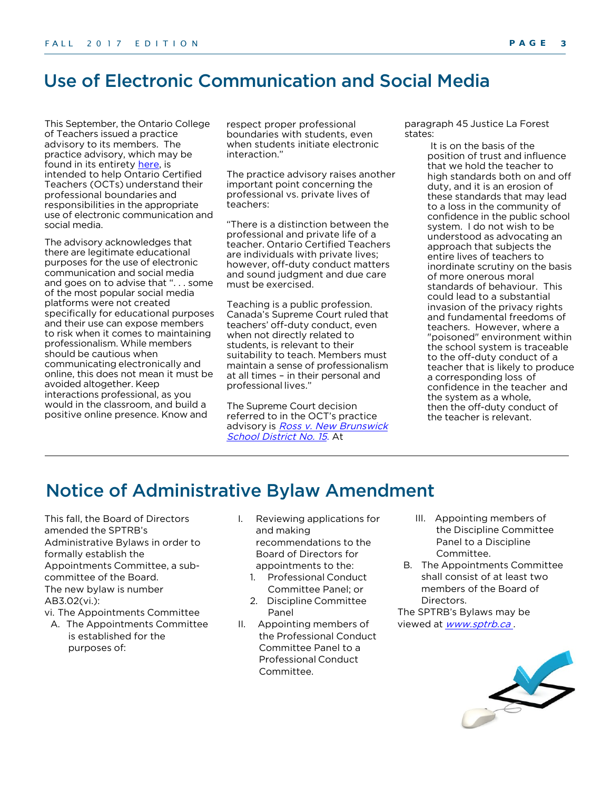### Use of Electronic Communication and Social Media

This September, the Ontario College of Teachers issued a practice advisory to its members. The practice advisory, which may be found in its entirety [here,](https://www.oct.ca/-/media/PDF/Advisory%20Social%20Media/ProfAdvSocMediaENPRINT.pdf) is intended to help Ontario Certified Teachers (OCTs) understand their professional boundaries and responsibilities in the appropriate use of electronic communication and social media.

The advisory acknowledges that there are legitimate educational purposes for the use of electronic communication and social media and goes on to advise that ". . . some of the most popular social media platforms were not created specifically for educational purposes and their use can expose members to risk when it comes to maintaining professionalism. While members should be cautious when communicating electronically and online, this does not mean it must be avoided altogether. Keep interactions professional, as you would in the classroom, and build a positive online presence. Know and

respect proper professional boundaries with students, even when students initiate electronic interaction."

The practice advisory raises another important point concerning the professional vs. private lives of teachers:

"There is a distinction between the professional and private life of a teacher. Ontario Certified Teachers are individuals with private lives; however, off-duty conduct matters and sound judgment and due care must be exercised.

Teaching is a public profession. Canada's Supreme Court ruled that teachers' off-duty conduct, even when not directly related to students, is relevant to their suitability to teach. Members must maintain a sense of professionalism at all times – in their personal and professional lives."

The Supreme Court decision referred to in the OCT's practice advisory is Ross v. New Brunswick School District No. 15. At

paragraph 45 Justice La Forest states:

> It is on the basis of the position of trust and influence that we hold the teacher to high standards both on and off duty, and it is an erosion of these standards that may lead to a loss in the community of confidence in the public school system. I do not wish to be understood as advocating an approach that subjects the entire lives of teachers to inordinate scrutiny on the basis of more onerous moral standards of behaviour. This could lead to a substantial invasion of the privacy rights and fundamental freedoms of teachers. However, where a "poisoned" environment within the school system is traceable to the off-duty conduct of a teacher that is likely to produce a corresponding loss of confidence in the teacher and the system as a whole, then the off-duty conduct of the teacher is relevant.

### Notice of Administrative Bylaw Amendment

This fall, the Board of Directors amended the SPTRB's Administrative Bylaws in order to formally establish the Appointments Committee, a subcommittee of the Board. The new bylaw is number AB3.02(vi.):

vi. The Appointments Committee

- A. The Appointments Committee is established for the purposes of:
- I. Reviewing applications for and making recommendations to the Board of Directors for appointments to the:
	- 1. Professional Conduct Committee Panel; or
	- 2. Discipline Committee Panel
- II. Appointing members of the Professional Conduct Committee Panel to a Professional Conduct Committee.
- III. Appointing members of the Discipline Committee Panel to a Discipline Committee.
- B. The Appointments Committee shall consist of at least two members of the Board of Directors.

The SPTRB's Bylaws may be viewed at **www.sptrb.ca**.

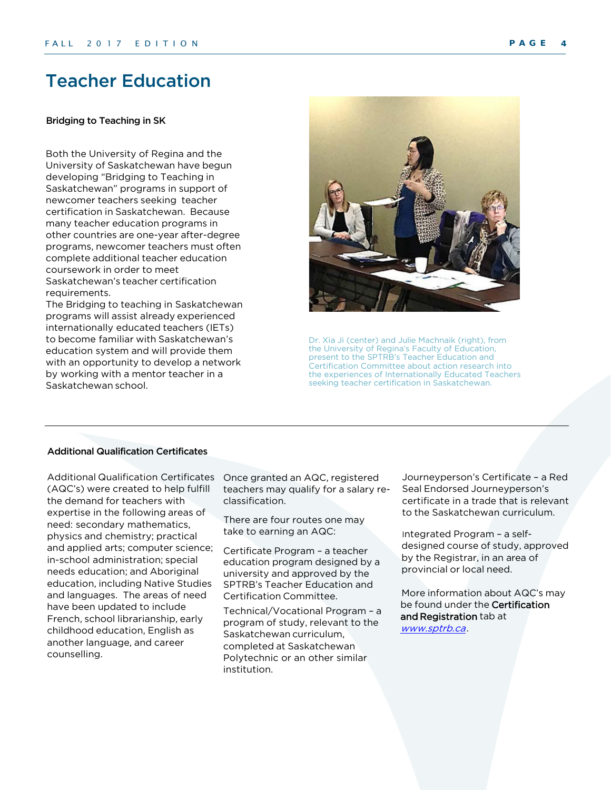### <span id="page-3-0"></span>Teacher Education

#### Bridging to Teaching in SK

Both the University of Regina and the University of Saskatchewan have begun developing "Bridging to Teaching in Saskatchewan" programs in support of newcomer teachers seeking teacher certification in Saskatchewan. Because many teacher education programs in other countries are one-year after-degree programs, newcomer teachers must often complete additional teacher education coursework in order to meet Saskatchewan's teacher certification requirements.

<span id="page-3-1"></span>The Bridging to teaching in Saskatchewan programs will assist already experienced internationally educated teachers (IETs) to become familiar with Saskatchewan's education system and will provide them with an opportunity to develop a network by working with a mentor teacher in a Saskatchewan school.



Dr. Xia Ji (center) and Julie Machnaik (right), from the University of Regina's Faculty of Education, present to the SPTRB's Teacher Education and Certification Committee about action research into the experiences of Internationally Educated Teachers seeking teacher certification in Saskatchewan.

### Additional Qualification Certificates

Additional Qualification Certificates (AQC's) were created to help fulfill the demand for teachers with expertise in the following areas of need: secondary mathematics, physics and chemistry; practical and applied arts; computer science; in-school administration; special needs education; and Aboriginal education, including Native Studies and languages. The areas of need have been updated to include French, school librarianship, early childhood education, English as another language, and career counselling.

Once granted an AQC, registered teachers may qualify for a salary re[classification](http://www.sptrb.ca/).

There are four routes one may take to earning an AQC:

Certificate Program – a teacher education program designed by a university and approved by the SPTRB's Teacher Education and Certification Committee.

Technical/Vocational Program – a program of study, relevant to the Saskatchewan curriculum, completed at Saskatchewan Polytechnic or an other similar institution.

Journeyperson's Certificate – a Red Seal Endorsed Journeyperson's certificate in a trade that is relevant to the Saskatchewan curriculum.

Integrated Program – a selfdesigned course of study, approved by the Registrar, in an area of [provincial](http://www.sptrb.ca/) or local need.

More information about AQC's may be found under the Certification and Registration tab at www.sptrb.ca.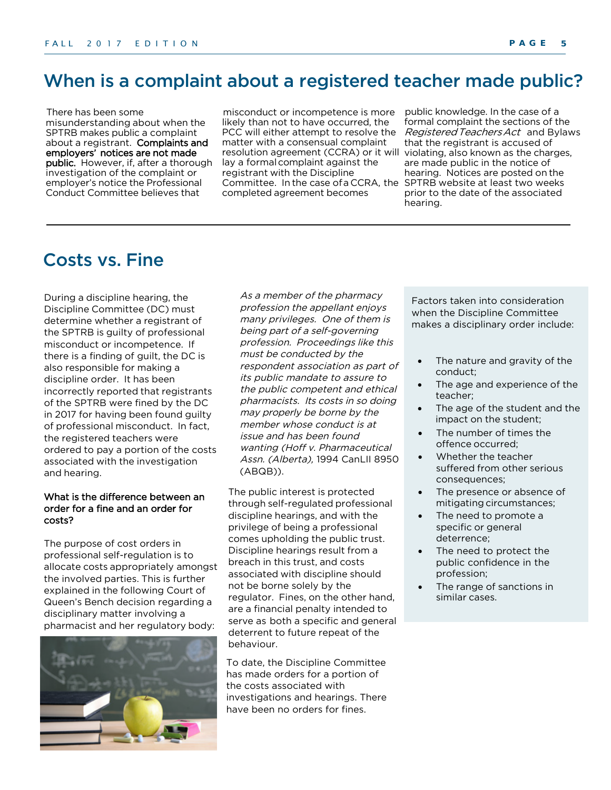### <span id="page-4-0"></span>When is a complaint about a registered teacher made public?

There has been some misunderstanding about when the SPTRB makes public a complaint about a registrant. Complaints and employers' notices are not made public. However, if, after a thorough investigation of the complaint or employer's notice the Professional Conduct Committee believes that

misconduct or incompetence is more likely than not to have occurred, the PCC will either attempt to resolve the matter with a consensual complaint resolution agreement (CCRA) or it will lay a formal complaint against the registrant with the Discipline Committee. In the case of a CCRA, the SPTRB website at least two weeks completed agreement becomes

public knowledge. In the case of a formal complaint the sections of the Registered Teachers Act and Bylaws that the registrant is accused of violating, also known as the charges, are made public in the notice of hearing. Notices are posted on the prior to the date of the associated hearing.

## Costs vs. Fine

During a discipline hearing, the Discipline Committee (DC) must determine whether a registrant of the SPTRB is guilty of professional misconduct or incompetence. If there is a finding of guilt, the DC is also responsible for making a discipline order. It has been incorrectly reported that registrants of the SPTRB were fined by the DC in 2017 for having been found guilty of professional misconduct. In fact, the re[gistered](https://www.oct.ca/-/media/PDF/Advisory%20Social%20Media/ProfAdvSocMediaENPRINT.pdf) teachers were ordered to pay a portion of the costs associated with the investigation and hearing.

#### What is the difference between an order for a fine and an order for costs?

The purpose of cost orders in professional self-regulation is to allocate costs appropriately amongst the involved parties. This is further explained in the following Court of Queen's Bench decision regarding a disciplinary matter involving a pharmacist and her regulatory body:



As a member of the pharmacy profession the appellant enjoys many privileges. One of them is being part of a self-governing profession. Proceedings like this must be conducted by the respondent association as part of its public mandate to assure to the public competent and ethical pharmacists. Its costs in so doing may properly be borne by the member whose conduct is at issue and has been found wanting (Hoff v. Pharmaceutical Assn. (Alberta), 1994 CanLII 8950 (ABQB)).

The public interest is protected through self-regulated professional discipline hearings, and with the privilege of being a professional comes upholding the public trust. Discipline hearings result from a breach in this trust, and costs associated with discipline should not be borne solely by the regulator. Fines, on the other hand, are a financial penalty intended to serve as both a specific and general deterrent to future repeat of the behaviour.

To date, the Discipline Committee has made orders for a portion of the costs associated with investigations and hearings. There have been no orders for fines.

Factors taken into consideration when the Discipline Committee makes a disciplinary order include:

- The nature and gravity of the conduct;
- The age and experience of the teacher;
- The age of the student and the impact on the student;
- The number of times the offence occurred;
- Whether the teacher suffered from other serious consequences;
- The presence or absence of mitigating circumstances;
- The need to promote a specific or general deterrence;
- The need to protect the public confidence in the profession;
- The range of sanctions in similar cases.